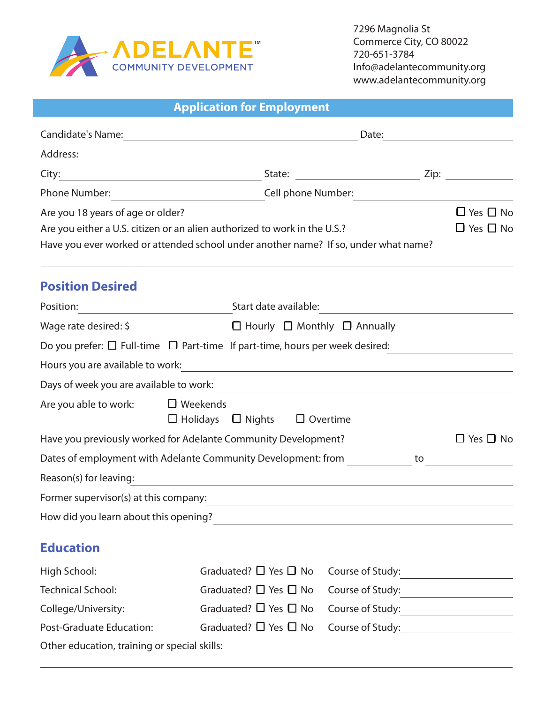

| <b>Application for Employment</b> |  |
|-----------------------------------|--|
|-----------------------------------|--|

| <b>Candidate's Name:</b>                     | Date:<br><u> 1989 - Jan Sterling Sterling Sterling Sterling Sterling Sterling Sterling Sterling Sterling Sterling Sterling</u>                                                                                                         |                                              |  |  |
|----------------------------------------------|----------------------------------------------------------------------------------------------------------------------------------------------------------------------------------------------------------------------------------------|----------------------------------------------|--|--|
| Address:                                     | <u> 1989 - Johann Stoff, deutscher Stoff, der Stoff, der Stoff, der Stoff, der Stoff, der Stoff, der Stoff, der S</u>                                                                                                                  |                                              |  |  |
| City:                                        |                                                                                                                                                                                                                                        |                                              |  |  |
| Phone Number:                                | Cell phone Number:                                                                                                                                                                                                                     |                                              |  |  |
| Are you 18 years of age or older?            | Are you either a U.S. citizen or an alien authorized to work in the U.S.?<br>Have you ever worked or attended school under another name? If so, under what name?                                                                       | $\Box$ Yes $\Box$ No<br>$\Box$ Yes $\Box$ No |  |  |
| <b>Position Desired</b>                      |                                                                                                                                                                                                                                        |                                              |  |  |
| Position:                                    |                                                                                                                                                                                                                                        |                                              |  |  |
| Wage rate desired: \$                        | $\Box$ Hourly $\Box$ Monthly $\Box$ Annually                                                                                                                                                                                           |                                              |  |  |
|                                              | Do you prefer: $\Box$ Full-time $\Box$ Part-time If part-time, hours per week desired:                                                                                                                                                 |                                              |  |  |
|                                              | Hours you are available to work:<br><u> and the manual contract of the set of the set of the set of the set of the set of the set of the set of the set of the set of the set of the set of the set of the set of the set of the s</u> |                                              |  |  |
|                                              | Days of week you are available to work:<br><u> Lays of week you are available to work:</u>                                                                                                                                             |                                              |  |  |
| Are you able to work:                        | $\Box$ Weekends<br>$\Box$ Holidays $\Box$ Nights<br>$\Box$ Overtime                                                                                                                                                                    |                                              |  |  |
|                                              | Have you previously worked for Adelante Community Development?                                                                                                                                                                         | $\Box$ Yes $\Box$ No                         |  |  |
|                                              | Dates of employment with Adelante Community Development: from                                                                                                                                                                          | to                                           |  |  |
| Reason(s) for leaving:                       |                                                                                                                                                                                                                                        |                                              |  |  |
|                                              | Former supervisor(s) at this company:                                                                                                                                                                                                  |                                              |  |  |
| How did you learn about this opening?        | <u> 1980 - John Stein, Amerikaansk politiker (* 1918)</u>                                                                                                                                                                              |                                              |  |  |
| <b>Education</b>                             |                                                                                                                                                                                                                                        |                                              |  |  |
| High School:                                 | Graduated? $\Box$ Yes $\Box$ No                                                                                                                                                                                                        | Course of Study:                             |  |  |
| <b>Technical School:</b>                     | Graduated? $\Box$ Yes $\Box$ No                                                                                                                                                                                                        | Course of Study:                             |  |  |
| College/University:                          | Graduated? $\Box$ Yes $\Box$ No                                                                                                                                                                                                        | Course of Study:<br><u> Course of Study:</u> |  |  |
| Post-Graduate Education:                     | Graduated? $\Box$ Yes $\Box$ No                                                                                                                                                                                                        | Course of Study:<br><u>Course of Study:</u>  |  |  |
| Other education, training or special skills: |                                                                                                                                                                                                                                        |                                              |  |  |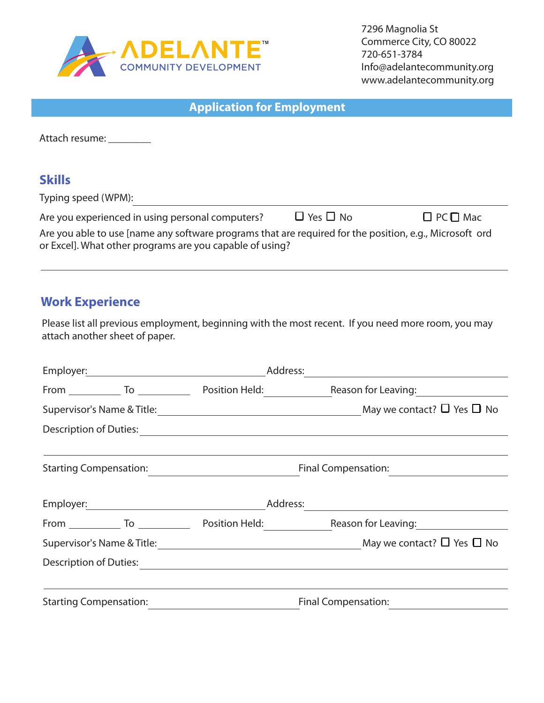

7296 Magnolia St Commerce City, CO 80022 720-651-3784 Info@adelantecommunity.org www.adelantecommunity.org

| <b>Application for Employment</b>                                                                                                                                   |                      |                      |  |
|---------------------------------------------------------------------------------------------------------------------------------------------------------------------|----------------------|----------------------|--|
| Attach resume:                                                                                                                                                      |                      |                      |  |
| <b>Skills</b><br>Typing speed (WPM):                                                                                                                                |                      |                      |  |
| Are you experienced in using personal computers?                                                                                                                    | $\Box$ Yes $\Box$ No | $\Box$ PC $\Box$ Mac |  |
| Are you able to use [name any software programs that are required for the position, e.g., Microsoft ord<br>or Excel]. What other programs are you capable of using? |                      |                      |  |

# **Work Experience**

Please list all previous employment, beginning with the most recent. If you need more room, you may attach another sheet of paper.

| Employer: 2008                | Address:                                                |                                      |  |
|-------------------------------|---------------------------------------------------------|--------------------------------------|--|
|                               |                                                         | Reason for Leaving: 1990             |  |
|                               |                                                         | May we contact? $\Box$ Yes $\Box$ No |  |
| Description of Duties:        | <u> 1989 - Johann Stoff, fransk politiker (d. 1989)</u> |                                      |  |
| <b>Starting Compensation:</b> |                                                         | Final Compensation:                  |  |
|                               |                                                         |                                      |  |
|                               |                                                         |                                      |  |
|                               |                                                         | Reason for Leaving: Neason           |  |
|                               |                                                         | May we contact? $\Box$ Yes $\Box$ No |  |
| Description of Duties:        |                                                         |                                      |  |
|                               |                                                         |                                      |  |
| <b>Starting Compensation:</b> | Final Compensation:                                     |                                      |  |